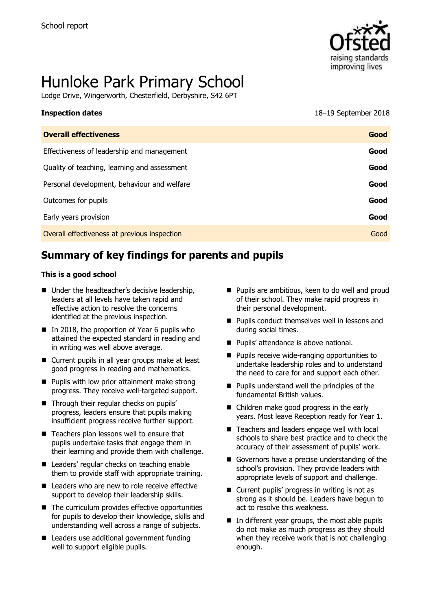

# Hunloke Park Primary School

Lodge Drive, Wingerworth, Chesterfield, Derbyshire, S42 6PT

# **Inspection dates** 18–19 September 2018

| <b>Overall effectiveness</b>                 | Good |
|----------------------------------------------|------|
| Effectiveness of leadership and management   | Good |
| Quality of teaching, learning and assessment | Good |
| Personal development, behaviour and welfare  | Good |
| Outcomes for pupils                          | Good |
| Early years provision                        | Good |
| Overall effectiveness at previous inspection | Good |
|                                              |      |

# **Summary of key findings for parents and pupils**

#### **This is a good school**

- Under the headteacher's decisive leadership, leaders at all levels have taken rapid and effective action to resolve the concerns identified at the previous inspection.
- In 2018, the proportion of Year 6 pupils who attained the expected standard in reading and in writing was well above average.
- Current pupils in all year groups make at least good progress in reading and mathematics.
- $\blacksquare$  Pupils with low prior attainment make strong progress. They receive well-targeted support.
- Through their regular checks on pupils' progress, leaders ensure that pupils making insufficient progress receive further support.
- Teachers plan lessons well to ensure that pupils undertake tasks that engage them in their learning and provide them with challenge.
- Leaders' regular checks on teaching enable them to provide staff with appropriate training.
- Leaders who are new to role receive effective support to develop their leadership skills.
- The curriculum provides effective opportunities for pupils to develop their knowledge, skills and understanding well across a range of subjects.
- Leaders use additional government funding well to support eligible pupils.
- **Pupils are ambitious, keen to do well and proud** of their school. They make rapid progress in their personal development.
- **Pupils conduct themselves well in lessons and** during social times.
- **Pupils' attendance is above national.**
- **Pupils receive wide-ranging opportunities to** undertake leadership roles and to understand the need to care for and support each other.
- **Pupils understand well the principles of the** fundamental British values.
- Children make good progress in the early years. Most leave Reception ready for Year 1.
- Teachers and leaders engage well with local schools to share best practice and to check the accuracy of their assessment of pupils' work.
- Governors have a precise understanding of the school's provision. They provide leaders with appropriate levels of support and challenge.
- Current pupils' progress in writing is not as strong as it should be. Leaders have begun to act to resolve this weakness.
- In different year groups, the most able pupils do not make as much progress as they should when they receive work that is not challenging enough.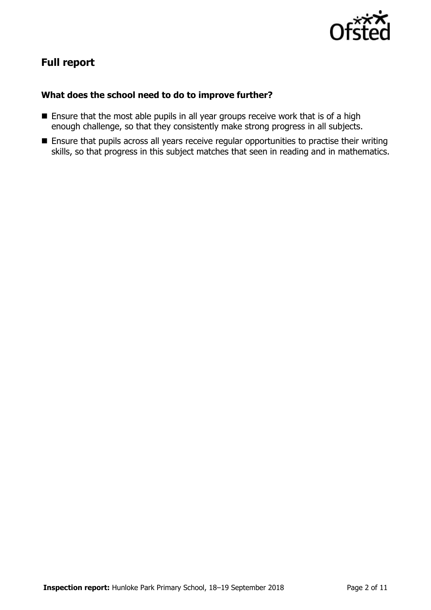

# **Full report**

#### **What does the school need to do to improve further?**

- Ensure that the most able pupils in all year groups receive work that is of a high enough challenge, so that they consistently make strong progress in all subjects.
- **Ensure that pupils across all years receive regular opportunities to practise their writing** skills, so that progress in this subject matches that seen in reading and in mathematics.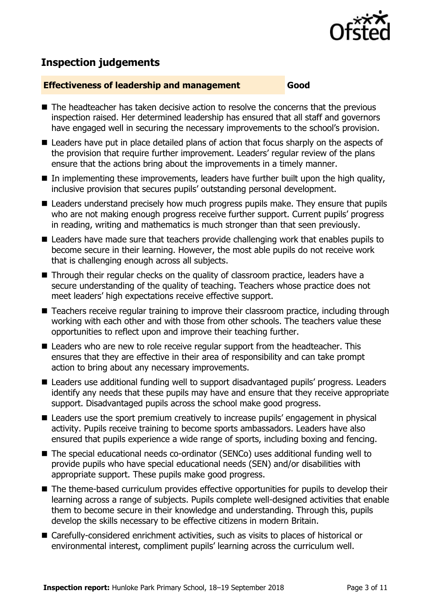

# **Inspection judgements**

#### **Effectiveness of leadership and management Good**

- $\blacksquare$  The headteacher has taken decisive action to resolve the concerns that the previous inspection raised. Her determined leadership has ensured that all staff and governors have engaged well in securing the necessary improvements to the school's provision.
- Leaders have put in place detailed plans of action that focus sharply on the aspects of the provision that require further improvement. Leaders' regular review of the plans ensure that the actions bring about the improvements in a timely manner.
- $\blacksquare$  In implementing these improvements, leaders have further built upon the high quality, inclusive provision that secures pupils' outstanding personal development.
- Leaders understand precisely how much progress pupils make. They ensure that pupils who are not making enough progress receive further support. Current pupils' progress in reading, writing and mathematics is much stronger than that seen previously.
- Leaders have made sure that teachers provide challenging work that enables pupils to become secure in their learning. However, the most able pupils do not receive work that is challenging enough across all subjects.
- Through their regular checks on the quality of classroom practice, leaders have a secure understanding of the quality of teaching. Teachers whose practice does not meet leaders' high expectations receive effective support.
- Teachers receive regular training to improve their classroom practice, including through working with each other and with those from other schools. The teachers value these opportunities to reflect upon and improve their teaching further.
- Leaders who are new to role receive regular support from the headteacher. This ensures that they are effective in their area of responsibility and can take prompt action to bring about any necessary improvements.
- Leaders use additional funding well to support disadvantaged pupils' progress. Leaders identify any needs that these pupils may have and ensure that they receive appropriate support. Disadvantaged pupils across the school make good progress.
- Leaders use the sport premium creatively to increase pupils' engagement in physical activity. Pupils receive training to become sports ambassadors. Leaders have also ensured that pupils experience a wide range of sports, including boxing and fencing.
- The special educational needs co-ordinator (SENCo) uses additional funding well to provide pupils who have special educational needs (SEN) and/or disabilities with appropriate support. These pupils make good progress.
- The theme-based curriculum provides effective opportunities for pupils to develop their learning across a range of subjects. Pupils complete well-designed activities that enable them to become secure in their knowledge and understanding. Through this, pupils develop the skills necessary to be effective citizens in modern Britain.
- Carefully-considered enrichment activities, such as visits to places of historical or environmental interest, compliment pupils' learning across the curriculum well.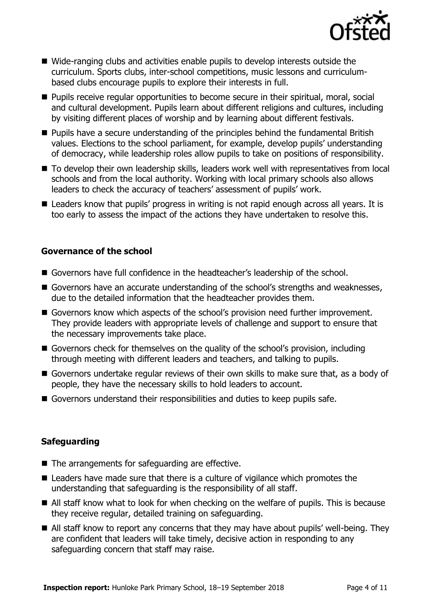

- Wide-ranging clubs and activities enable pupils to develop interests outside the curriculum. Sports clubs, inter-school competitions, music lessons and curriculumbased clubs encourage pupils to explore their interests in full.
- **Pupils receive regular opportunities to become secure in their spiritual, moral, social** and cultural development. Pupils learn about different religions and cultures, including by visiting different places of worship and by learning about different festivals.
- **Pupils have a secure understanding of the principles behind the fundamental British** values. Elections to the school parliament, for example, develop pupils' understanding of democracy, while leadership roles allow pupils to take on positions of responsibility.
- To develop their own leadership skills, leaders work well with representatives from local schools and from the local authority. Working with local primary schools also allows leaders to check the accuracy of teachers' assessment of pupils' work.
- Leaders know that pupils' progress in writing is not rapid enough across all years. It is too early to assess the impact of the actions they have undertaken to resolve this.

#### **Governance of the school**

- Governors have full confidence in the headteacher's leadership of the school.
- Governors have an accurate understanding of the school's strengths and weaknesses, due to the detailed information that the headteacher provides them.
- Governors know which aspects of the school's provision need further improvement. They provide leaders with appropriate levels of challenge and support to ensure that the necessary improvements take place.
- Governors check for themselves on the quality of the school's provision, including through meeting with different leaders and teachers, and talking to pupils.
- Governors undertake regular reviews of their own skills to make sure that, as a body of people, they have the necessary skills to hold leaders to account.
- Governors understand their responsibilities and duties to keep pupils safe.

#### **Safeguarding**

- $\blacksquare$  The arrangements for safeguarding are effective.
- Leaders have made sure that there is a culture of vigilance which promotes the understanding that safeguarding is the responsibility of all staff.
- All staff know what to look for when checking on the welfare of pupils. This is because they receive regular, detailed training on safeguarding.
- All staff know to report any concerns that they may have about pupils' well-being. They are confident that leaders will take timely, decisive action in responding to any safeguarding concern that staff may raise.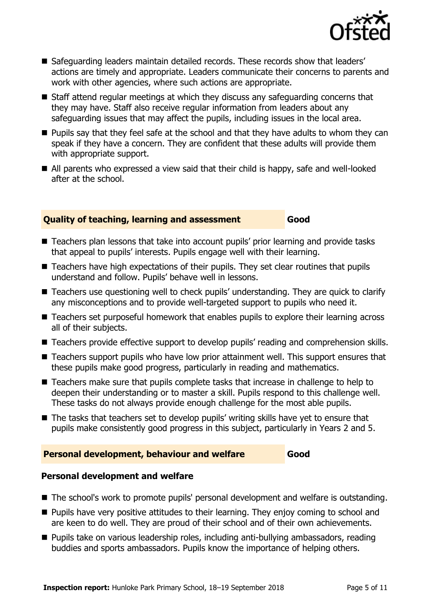

- Safeguarding leaders maintain detailed records. These records show that leaders' actions are timely and appropriate. Leaders communicate their concerns to parents and work with other agencies, where such actions are appropriate.
- Staff attend regular meetings at which they discuss any safeguarding concerns that they may have. Staff also receive regular information from leaders about any safeguarding issues that may affect the pupils, including issues in the local area.
- **Pupils say that they feel safe at the school and that they have adults to whom they can** speak if they have a concern. They are confident that these adults will provide them with appropriate support.
- All parents who expressed a view said that their child is happy, safe and well-looked after at the school.

#### **Quality of teaching, learning and assessment Good**

- Teachers plan lessons that take into account pupils' prior learning and provide tasks that appeal to pupils' interests. Pupils engage well with their learning.
- Teachers have high expectations of their pupils. They set clear routines that pupils understand and follow. Pupils' behave well in lessons.
- Teachers use questioning well to check pupils' understanding. They are quick to clarify any misconceptions and to provide well-targeted support to pupils who need it.
- Teachers set purposeful homework that enables pupils to explore their learning across all of their subjects.
- Teachers provide effective support to develop pupils' reading and comprehension skills.
- Teachers support pupils who have low prior attainment well. This support ensures that these pupils make good progress, particularly in reading and mathematics.
- Teachers make sure that pupils complete tasks that increase in challenge to help to deepen their understanding or to master a skill. Pupils respond to this challenge well. These tasks do not always provide enough challenge for the most able pupils.
- The tasks that teachers set to develop pupils' writing skills have yet to ensure that pupils make consistently good progress in this subject, particularly in Years 2 and 5.

#### **Personal development, behaviour and welfare Good**

#### **Personal development and welfare**

- The school's work to promote pupils' personal development and welfare is outstanding.
- **Pupils have very positive attitudes to their learning. They enjoy coming to school and** are keen to do well. They are proud of their school and of their own achievements.
- **Pupils take on various leadership roles, including anti-bullying ambassadors, reading** buddies and sports ambassadors. Pupils know the importance of helping others.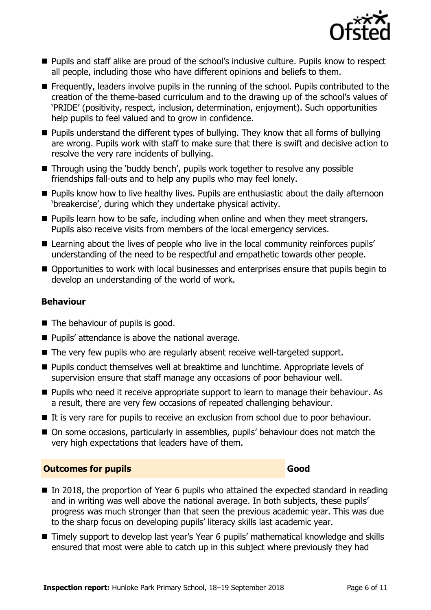

- **Pupils and staff alike are proud of the school's inclusive culture. Pupils know to respect** all people, including those who have different opinions and beliefs to them.
- **Figuently, leaders involve pupils in the running of the school. Pupils contributed to the** creation of the theme-based curriculum and to the drawing up of the school's values of 'PRIDE' (positivity, respect, inclusion, determination, enjoyment). Such opportunities help pupils to feel valued and to grow in confidence.
- Pupils understand the different types of bullying. They know that all forms of bullying are wrong. Pupils work with staff to make sure that there is swift and decisive action to resolve the very rare incidents of bullying.
- Through using the 'buddy bench', pupils work together to resolve any possible friendships fall-outs and to help any pupils who may feel lonely.
- **Pupils know how to live healthy lives. Pupils are enthusiastic about the daily afternoon** 'breakercise', during which they undertake physical activity.
- $\blacksquare$  Pupils learn how to be safe, including when online and when they meet strangers. Pupils also receive visits from members of the local emergency services.
- Learning about the lives of people who live in the local community reinforces pupils' understanding of the need to be respectful and empathetic towards other people.
- Opportunities to work with local businesses and enterprises ensure that pupils begin to develop an understanding of the world of work.

### **Behaviour**

- $\blacksquare$  The behaviour of pupils is good.
- Pupils' attendance is above the national average.
- The very few pupils who are regularly absent receive well-targeted support.
- **Pupils conduct themselves well at breaktime and lunchtime. Appropriate levels of** supervision ensure that staff manage any occasions of poor behaviour well.
- **Pupils who need it receive appropriate support to learn to manage their behaviour. As** a result, there are very few occasions of repeated challenging behaviour.
- If is very rare for pupils to receive an exclusion from school due to poor behaviour.
- On some occasions, particularly in assemblies, pupils' behaviour does not match the very high expectations that leaders have of them.

#### **Outcomes for pupils Good Good**

- $\blacksquare$  In 2018, the proportion of Year 6 pupils who attained the expected standard in reading and in writing was well above the national average. In both subjects, these pupils' progress was much stronger than that seen the previous academic year. This was due to the sharp focus on developing pupils' literacy skills last academic year.
- Timely support to develop last year's Year 6 pupils' mathematical knowledge and skills ensured that most were able to catch up in this subject where previously they had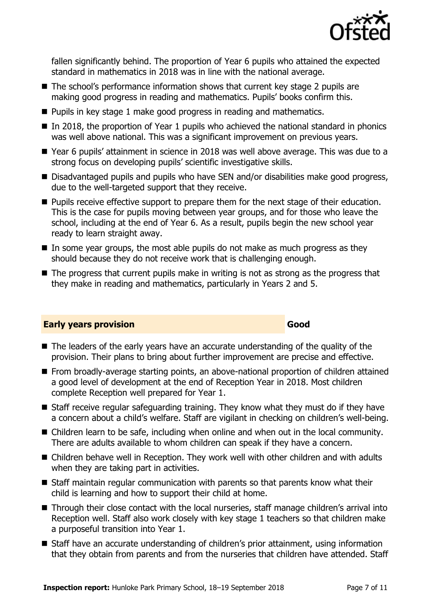

fallen significantly behind. The proportion of Year 6 pupils who attained the expected standard in mathematics in 2018 was in line with the national average.

- The school's performance information shows that current key stage 2 pupils are making good progress in reading and mathematics. Pupils' books confirm this.
- **Pupils in key stage 1 make good progress in reading and mathematics.**
- $\blacksquare$  In 2018, the proportion of Year 1 pupils who achieved the national standard in phonics was well above national. This was a significant improvement on previous years.
- Year 6 pupils' attainment in science in 2018 was well above average. This was due to a strong focus on developing pupils' scientific investigative skills.
- Disadvantaged pupils and pupils who have SEN and/or disabilities make good progress, due to the well-targeted support that they receive.
- **Pupils receive effective support to prepare them for the next stage of their education.** This is the case for pupils moving between year groups, and for those who leave the school, including at the end of Year 6. As a result, pupils begin the new school year ready to learn straight away.
- $\blacksquare$  In some year groups, the most able pupils do not make as much progress as they should because they do not receive work that is challenging enough.
- $\blacksquare$  The progress that current pupils make in writing is not as strong as the progress that they make in reading and mathematics, particularly in Years 2 and 5.

#### **Early years provision Good Good**

#### ■ The leaders of the early years have an accurate understanding of the quality of the provision. Their plans to bring about further improvement are precise and effective.

- **From broadly-average starting points, an above-national proportion of children attained** a good level of development at the end of Reception Year in 2018. Most children complete Reception well prepared for Year 1.
- Staff receive regular safeguarding training. They know what they must do if they have a concern about a child's welfare. Staff are vigilant in checking on children's well-being.
- Children learn to be safe, including when online and when out in the local community. There are adults available to whom children can speak if they have a concern.
- Children behave well in Reception. They work well with other children and with adults when they are taking part in activities.
- Staff maintain regular communication with parents so that parents know what their child is learning and how to support their child at home.
- Through their close contact with the local nurseries, staff manage children's arrival into Reception well. Staff also work closely with key stage 1 teachers so that children make a purposeful transition into Year 1.
- Staff have an accurate understanding of children's prior attainment, using information that they obtain from parents and from the nurseries that children have attended. Staff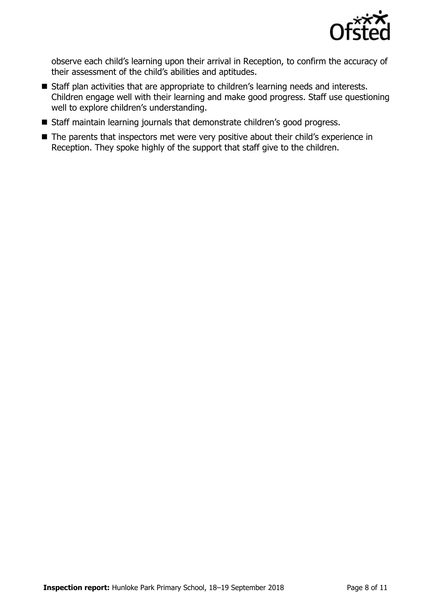

observe each child's learning upon their arrival in Reception, to confirm the accuracy of their assessment of the child's abilities and aptitudes.

- **Staff plan activities that are appropriate to children's learning needs and interests.** Children engage well with their learning and make good progress. Staff use questioning well to explore children's understanding.
- Staff maintain learning journals that demonstrate children's good progress.
- The parents that inspectors met were very positive about their child's experience in Reception. They spoke highly of the support that staff give to the children.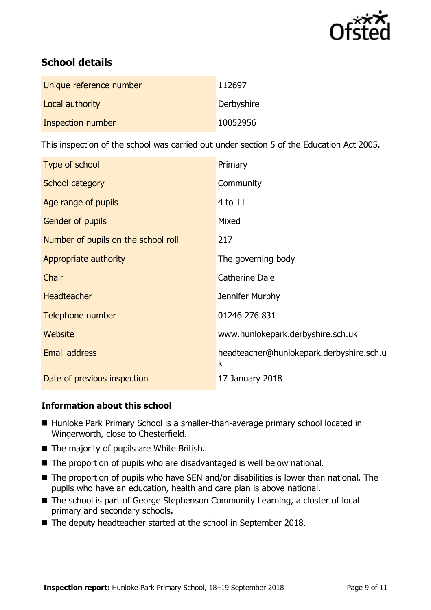

# **School details**

| Unique reference number | 112697     |
|-------------------------|------------|
| Local authority         | Derbyshire |
| Inspection number       | 10052956   |

This inspection of the school was carried out under section 5 of the Education Act 2005.

| Type of school                      | Primary                                       |
|-------------------------------------|-----------------------------------------------|
| School category                     | Community                                     |
| Age range of pupils                 | 4 to 11                                       |
| Gender of pupils                    | Mixed                                         |
| Number of pupils on the school roll | 217                                           |
| Appropriate authority               | The governing body                            |
| Chair                               | Catherine Dale                                |
| <b>Headteacher</b>                  | Jennifer Murphy                               |
| Telephone number                    | 01246 276 831                                 |
| Website                             | www.hunlokepark.derbyshire.sch.uk             |
| Email address                       | headteacher@hunlokepark.derbyshire.sch.u<br>k |
| Date of previous inspection         | 17 January 2018                               |

#### **Information about this school**

- Hunloke Park Primary School is a smaller-than-average primary school located in Wingerworth, close to Chesterfield.
- The majority of pupils are White British.
- The proportion of pupils who are disadvantaged is well below national.
- The proportion of pupils who have SEN and/or disabilities is lower than national. The pupils who have an education, health and care plan is above national.
- The school is part of George Stephenson Community Learning, a cluster of local primary and secondary schools.
- The deputy headteacher started at the school in September 2018.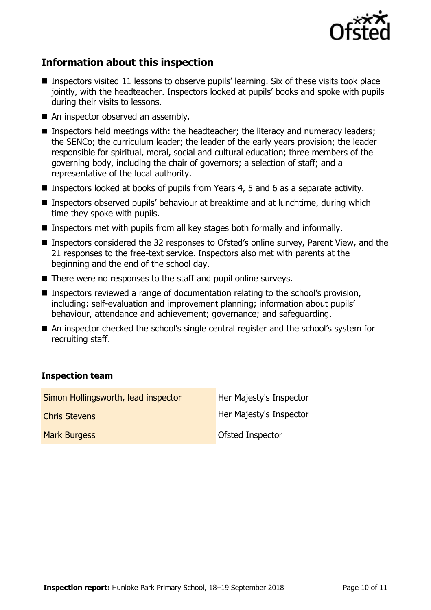

# **Information about this inspection**

- Inspectors visited 11 lessons to observe pupils' learning. Six of these visits took place jointly, with the headteacher. Inspectors looked at pupils' books and spoke with pupils during their visits to lessons.
- An inspector observed an assembly.
- **If Inspectors held meetings with: the headteacher; the literacy and numeracy leaders;** the SENCo; the curriculum leader; the leader of the early years provision; the leader responsible for spiritual, moral, social and cultural education; three members of the governing body, including the chair of governors; a selection of staff; and a representative of the local authority.
- Inspectors looked at books of pupils from Years 4, 5 and 6 as a separate activity.
- Inspectors observed pupils' behaviour at breaktime and at lunchtime, during which time they spoke with pupils.
- **Inspectors met with pupils from all key stages both formally and informally.**
- Inspectors considered the 32 responses to Ofsted's online survey, Parent View, and the 21 responses to the free-text service. Inspectors also met with parents at the beginning and the end of the school day.
- There were no responses to the staff and pupil online surveys.
- Inspectors reviewed a range of documentation relating to the school's provision, including: self-evaluation and improvement planning; information about pupils' behaviour, attendance and achievement; governance; and safeguarding.
- An inspector checked the school's single central register and the school's system for recruiting staff.

#### **Inspection team**

| Simon Hollingsworth, lead inspector | Her Majesty's Inspector |
|-------------------------------------|-------------------------|
| <b>Chris Stevens</b>                | Her Majesty's Inspector |
| <b>Mark Burgess</b>                 | Ofsted Inspector        |